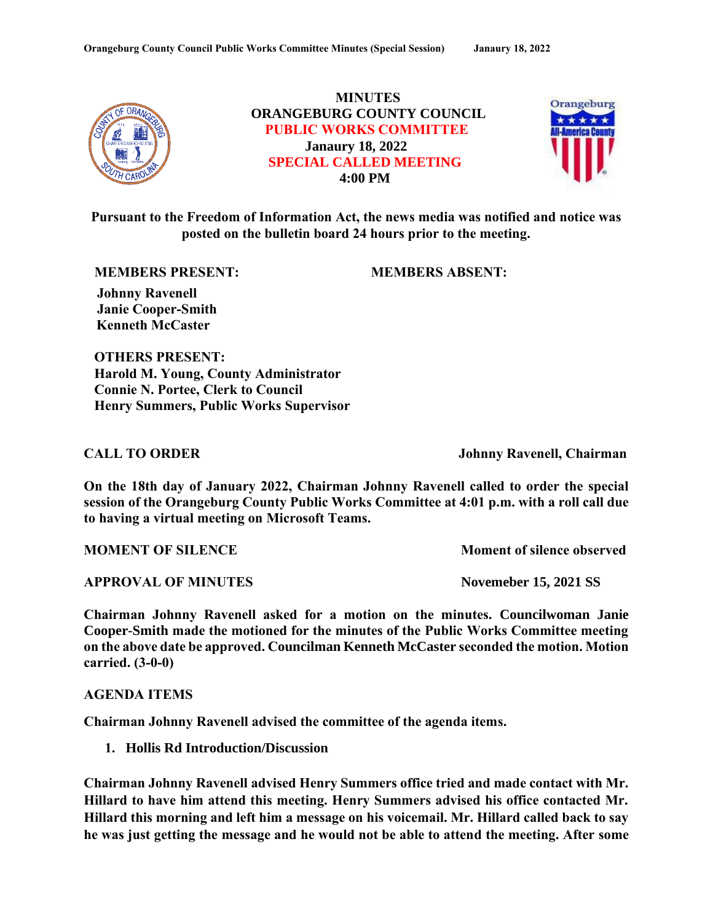

**MINUTES ORANGEBURG COUNTY COUNCIL PUBLIC WORKS COMMITTEE Janaury 18, 2022 SPECIAL CALLED MEETING 4:00 PM**



**Pursuant to the Freedom of Information Act, the news media was notified and notice was posted on the bulletin board 24 hours prior to the meeting.**

**MEMBERS PRESENT: MEMBERS ABSENT:**

 **Johnny Ravenell Janie Cooper-Smith Kenneth McCaster**

**OTHERS PRESENT: Harold M. Young, County Administrator Connie N. Portee, Clerk to Council Henry Summers, Public Works Supervisor** 

**CALL TO ORDER Johnny Ravenell, Chairman**

**On the 18th day of January 2022, Chairman Johnny Ravenell called to order the special session of the Orangeburg County Public Works Committee at 4:01 p.m. with a roll call due to having a virtual meeting on Microsoft Teams.**

**MOMENT OF SILENCE** MOMENT OF STRANGE MOMENT OF STRANGE AND MOMENT OF SILENCE

**APPROVAL OF MINUTES Novemeber 15, 2021 SS**

**Chairman Johnny Ravenell asked for a motion on the minutes. Councilwoman Janie Cooper-Smith made the motioned for the minutes of the Public Works Committee meeting on the above date be approved. Councilman Kenneth McCaster seconded the motion. Motion carried. (3-0-0)**

**AGENDA ITEMS**

**Chairman Johnny Ravenell advised the committee of the agenda items.**

**1. Hollis Rd Introduction/Discussion**

**Chairman Johnny Ravenell advised Henry Summers office tried and made contact with Mr. Hillard to have him attend this meeting. Henry Summers advised his office contacted Mr. Hillard this morning and left him a message on his voicemail. Mr. Hillard called back to say he was just getting the message and he would not be able to attend the meeting. After some**